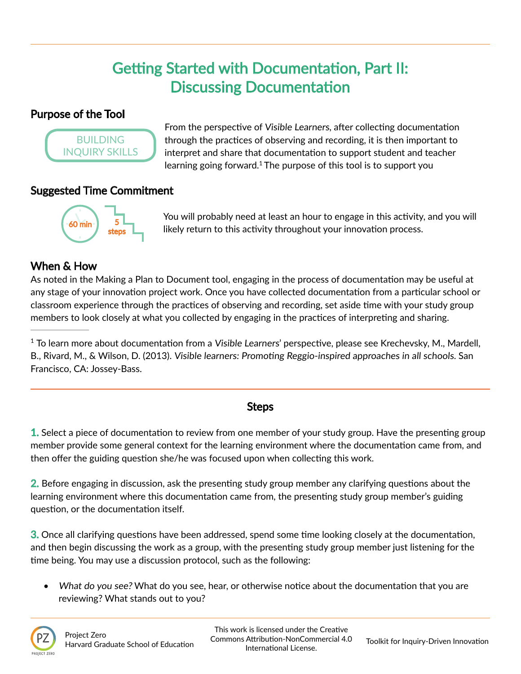# Getting Started with Documentation, Part II: Discussing Documentation

## Purpose of the Tool



From the perspective of Visible Learners, after collecting documentation through the practices of observing and recording, it is then important to interpret and share that documentation to support student and teacher learning going forward.<sup>1</sup> The purpose of this tool is to support you

#### Suggested Time Commitment



You will probably need at least an hour to engage in this activity, and you will likely return to this activity throughout your innovation process.

# When & How

As noted in the Making a Plan to Document tool, engaging in the process of documentation may be useful at any stage of your innovation project work. Once you have collected documentation from a particular school or classroom experience through the practices of observing and recording, set aside time with your study group members to look closely at what you collected by engaging in the practices of interpreting and sharing.

 $1$  To learn more about documentation from a Visible Learners' perspective, please see Krechevsky, M., Mardell, B., Rivard, M., & Wilson, D. (2013). Visible learners: Promoting Reggio-inspired approaches in all schools. San Francisco, CA: Jossey-Bass.

## Steps

1. Select a piece of documentation to review from one member of your study group. Have the presenting group member provide some general context for the learning environment where the documentation came from, and then offer the guiding question she/he was focused upon when collecting this work.

2. Before engaging in discussion, ask the presenting study group member any clarifying questions about the learning environment where this documentation came from, the presenting study group member's guiding question, or the documentation itself.

3. Once all clarifying questions have been addressed, spend some time looking closely at the documentation, and then begin discussing the work as a group, with the presenting study group member just listening for the time being. You may use a discussion protocol, such as the following:

• What do you see? What do you see, hear, or otherwise notice about the documentation that you are reviewing? What stands out to you?